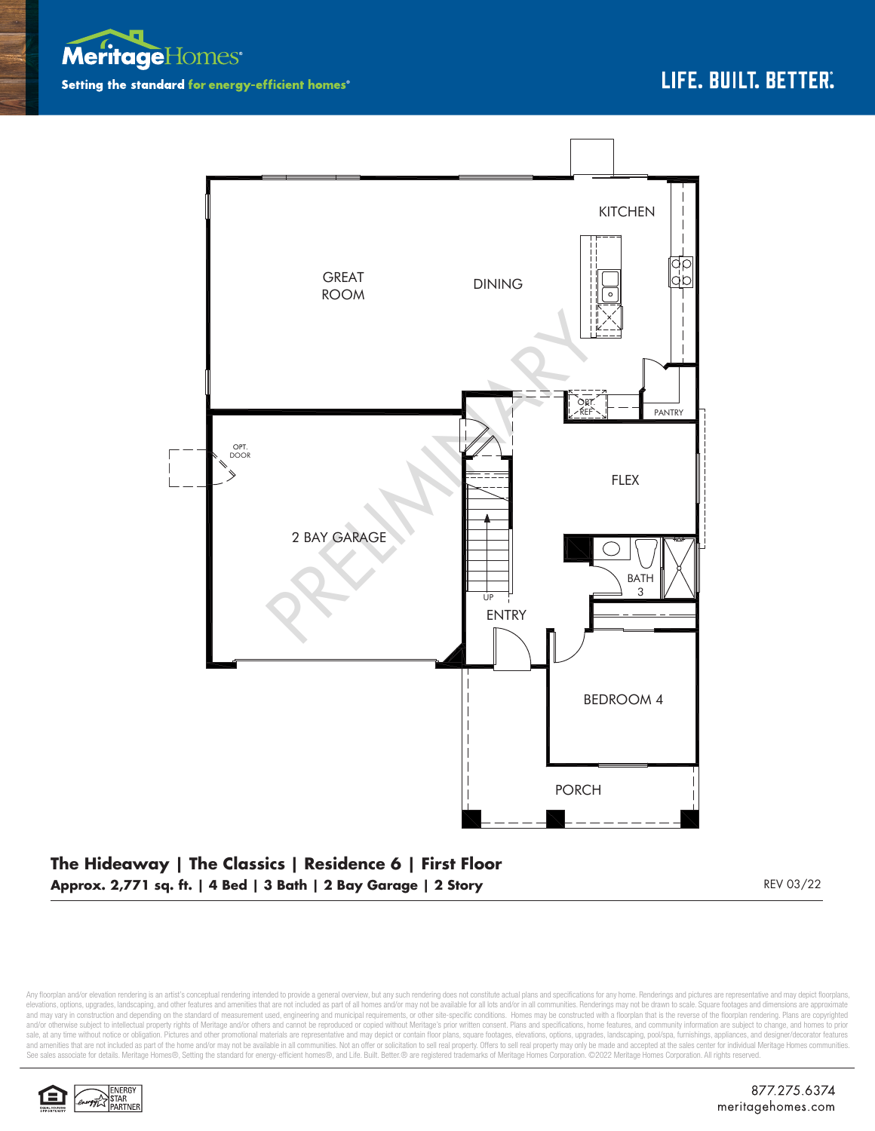



**Approx. 2,771 sq. ft. | 4 Bed | 3 Bath | 2 Bay Garage | 2 Story** REV 03/22

Any floorplan and/or elevation rendering is an artist's conceptual rendering intended to provide a general overview, but any such rendering does not constitute actual plans and specifications for any home. Renderings and p elevations, options, upgrades, landscaping, and other features and amenities that are not included as part of all homes and/or may not be available for all lots and/or in all communities. Renderings may not be drawn to sca and may vary in construction and depending on the standard of measurement used, engineering and municipal requirements, or other site-specific conditions. Homes may be constructed with a floorplan that is the reverse of th and/or otherwise subject to intellectual property rights of Meritage and/or others and cannot be reproduced or copied without Meritage's prior written consent. Plans and specifications, home features, and community informa sale, at any time without notice or obligation. Pictures and other promotional materials are representative and may depict or contain floor plans, square footages, elevations, options, upgrades, landscaping, pool/spa, furn See sales associate for details. Meritage Homes®, Setting the standard for energy-efficient homes®, and Life. Built. Better. @ are registered trademarks of Meritage Homes Corporation. ©2022 Meritage Homes Corporation. All